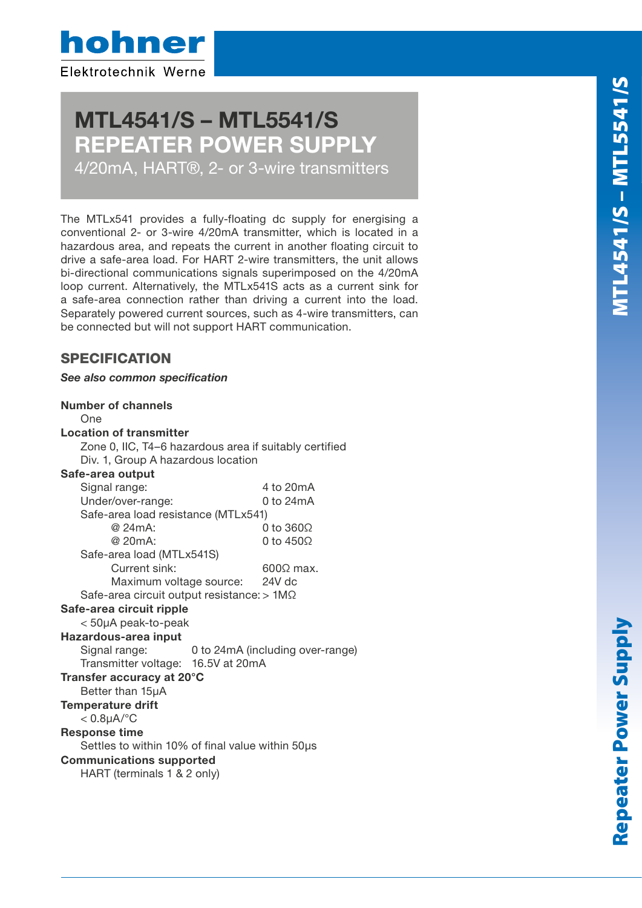hohner Elektrotechnik Werne

# MTL4541/S – MTL5541/S REPEATER POWER SUPPLY

4/20mA, HART®, 2- or 3-wire transmitters

The MTLx541 provides a fully-floating dc supply for energising a conventional 2- or 3-wire 4/20mA transmitter, which is located in a hazardous area, and repeats the current in another floating circuit to drive a safe-area load. For HART 2-wire transmitters, the unit allows bi-directional communications signals superimposed on the 4/20mA loop current. Alternatively, the MTLx541S acts as a current sink for a safe-area connection rather than driving a current into the load. Separately powered current sources, such as 4-wire transmitters, can be connected but will not support HART communication.

# **SPECIFICATION**

See also common specification

| <b>Number of channels</b>                              |                                  |                  |
|--------------------------------------------------------|----------------------------------|------------------|
| One                                                    |                                  |                  |
| <b>Location of transmitter</b>                         |                                  |                  |
| Zone 0, IIC, T4-6 hazardous area if suitably certified |                                  |                  |
| Div. 1, Group A hazardous location                     |                                  |                  |
| Safe-area output                                       |                                  |                  |
| Signal range:                                          |                                  | 4 to 20mA        |
| Under/over-range:                                      |                                  | 0 to 24mA        |
| Safe-area load resistance (MTLx541)                    |                                  |                  |
| @ 24mA:                                                |                                  | 0 to 3600        |
| @ 20mA:                                                |                                  | 0 to $450\Omega$ |
| Safe-area load (MTLx541S)                              |                                  |                  |
| Current sink:                                          |                                  | $600\Omega$ max. |
| Maximum voltage source:                                |                                  | 24V dc           |
| Safe-area circuit output resistance: > 1M $\Omega$     |                                  |                  |
| Safe-area circuit ripple                               |                                  |                  |
| < 50µA peak-to-peak                                    |                                  |                  |
| Hazardous-area input                                   |                                  |                  |
| Signal range:                                          | 0 to 24mA (including over-range) |                  |
| Transmitter voltage: 16.5V at 20mA                     |                                  |                  |
| Transfer accuracy at 20°C                              |                                  |                  |
| Better than 15µA                                       |                                  |                  |
| <b>Temperature drift</b>                               |                                  |                  |
| $< 0.8$ µA/°C                                          |                                  |                  |
| <b>Response time</b>                                   |                                  |                  |
| Settles to within 10% of final value within 50µs       |                                  |                  |
| <b>Communications supported</b>                        |                                  |                  |
| HART (terminals 1 & 2 only)                            |                                  |                  |
|                                                        |                                  |                  |

Hazardous area Safe area

Hazardous area Safe area